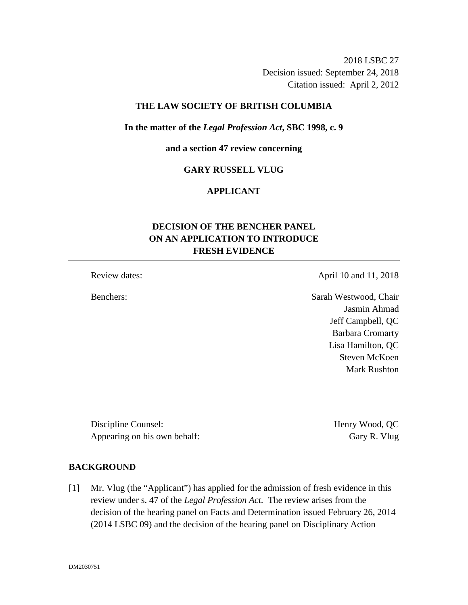2018 LSBC 27 Decision issued: September 24, 2018 Citation issued: April 2, 2012

## **THE LAW SOCIETY OF BRITISH COLUMBIA**

#### **In the matter of the** *Legal Profession Act***, SBC 1998, c. 9**

**and a section 47 review concerning**

### **GARY RUSSELL VLUG**

## **APPLICANT**

# **DECISION OF THE BENCHER PANEL ON AN APPLICATION TO INTRODUCE FRESH EVIDENCE**

### Review dates: April 10 and 11, 2018

Benchers: Sarah Westwood, Chair Jasmin Ahmad Jeff Campbell, QC Barbara Cromarty Lisa Hamilton, QC Steven McKoen Mark Rushton

Discipline Counsel: Henry Wood, QC Appearing on his own behalf: Gary R. Vlug

## **BACKGROUND**

[1] Mr. Vlug (the "Applicant") has applied for the admission of fresh evidence in this review under s. 47 of the *Legal Profession Act.* The review arises from the decision of the hearing panel on Facts and Determination issued February 26, 2014 (2014 LSBC 09) and the decision of the hearing panel on Disciplinary Action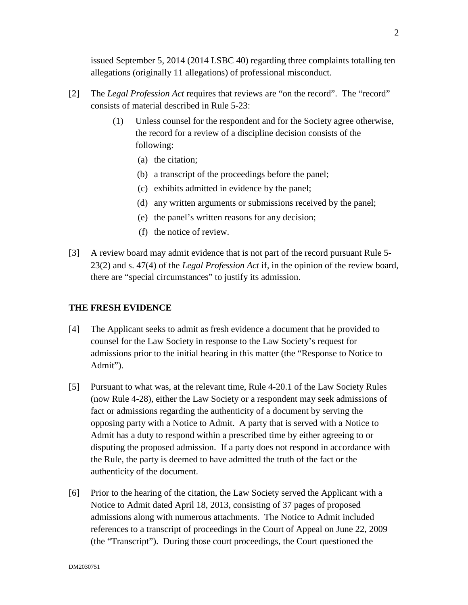issued September 5, 2014 (2014 LSBC 40) regarding three complaints totalling ten allegations (originally 11 allegations) of professional misconduct.

- [2] The *Legal Profession Act* requires that reviews are "on the record". The "record" consists of material described in Rule 5-23:
	- (1) Unless counsel for the respondent and for the Society agree otherwise, the record for a review of a discipline decision consists of the following:
		- (a) the citation;
		- (b) a transcript of the proceedings before the panel;
		- (c) exhibits admitted in evidence by the panel;
		- (d) any written arguments or submissions received by the panel;
		- (e) the panel's written reasons for any decision;
		- (f) the notice of review.
- [3] A review board may admit evidence that is not part of the record pursuant Rule 5- 23(2) and s. 47(4) of the *Legal Profession Act* if, in the opinion of the review board, there are "special circumstances" to justify its admission.

### **THE FRESH EVIDENCE**

- [4] The Applicant seeks to admit as fresh evidence a document that he provided to counsel for the Law Society in response to the Law Society's request for admissions prior to the initial hearing in this matter (the "Response to Notice to Admit").
- [5] Pursuant to what was, at the relevant time, Rule 4-20.1 of the Law Society Rules (now Rule 4-28), either the Law Society or a respondent may seek admissions of fact or admissions regarding the authenticity of a document by serving the opposing party with a Notice to Admit. A party that is served with a Notice to Admit has a duty to respond within a prescribed time by either agreeing to or disputing the proposed admission. If a party does not respond in accordance with the Rule, the party is deemed to have admitted the truth of the fact or the authenticity of the document.
- [6] Prior to the hearing of the citation, the Law Society served the Applicant with a Notice to Admit dated April 18, 2013, consisting of 37 pages of proposed admissions along with numerous attachments. The Notice to Admit included references to a transcript of proceedings in the Court of Appeal on June 22, 2009 (the "Transcript"). During those court proceedings, the Court questioned the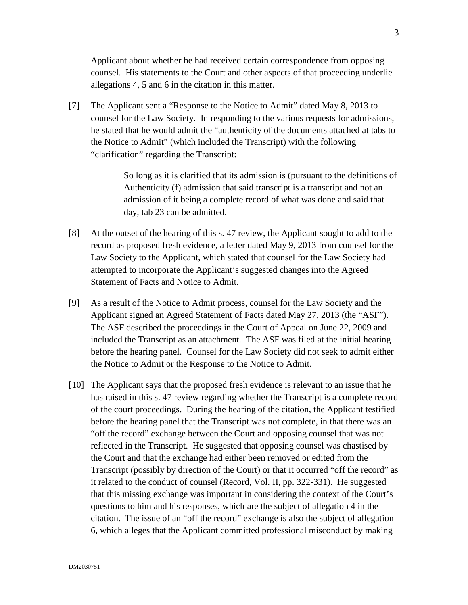Applicant about whether he had received certain correspondence from opposing counsel. His statements to the Court and other aspects of that proceeding underlie allegations 4, 5 and 6 in the citation in this matter.

[7] The Applicant sent a "Response to the Notice to Admit" dated May 8, 2013 to counsel for the Law Society. In responding to the various requests for admissions, he stated that he would admit the "authenticity of the documents attached at tabs to the Notice to Admit" (which included the Transcript) with the following "clarification" regarding the Transcript:

> So long as it is clarified that its admission is (pursuant to the definitions of Authenticity (f) admission that said transcript is a transcript and not an admission of it being a complete record of what was done and said that day, tab 23 can be admitted.

- [8] At the outset of the hearing of this s. 47 review, the Applicant sought to add to the record as proposed fresh evidence, a letter dated May 9, 2013 from counsel for the Law Society to the Applicant, which stated that counsel for the Law Society had attempted to incorporate the Applicant's suggested changes into the Agreed Statement of Facts and Notice to Admit.
- [9] As a result of the Notice to Admit process, counsel for the Law Society and the Applicant signed an Agreed Statement of Facts dated May 27, 2013 (the "ASF"). The ASF described the proceedings in the Court of Appeal on June 22, 2009 and included the Transcript as an attachment. The ASF was filed at the initial hearing before the hearing panel. Counsel for the Law Society did not seek to admit either the Notice to Admit or the Response to the Notice to Admit.
- [10] The Applicant says that the proposed fresh evidence is relevant to an issue that he has raised in this s. 47 review regarding whether the Transcript is a complete record of the court proceedings. During the hearing of the citation, the Applicant testified before the hearing panel that the Transcript was not complete, in that there was an "off the record" exchange between the Court and opposing counsel that was not reflected in the Transcript. He suggested that opposing counsel was chastised by the Court and that the exchange had either been removed or edited from the Transcript (possibly by direction of the Court) or that it occurred "off the record" as it related to the conduct of counsel (Record, Vol. II, pp. 322-331). He suggested that this missing exchange was important in considering the context of the Court's questions to him and his responses, which are the subject of allegation 4 in the citation. The issue of an "off the record" exchange is also the subject of allegation 6, which alleges that the Applicant committed professional misconduct by making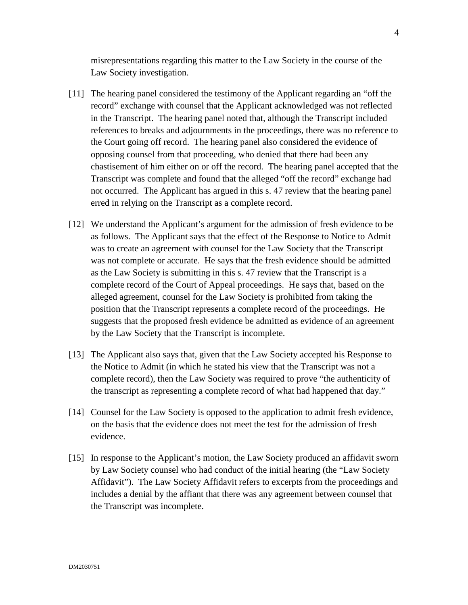misrepresentations regarding this matter to the Law Society in the course of the Law Society investigation.

- [11] The hearing panel considered the testimony of the Applicant regarding an "off the record" exchange with counsel that the Applicant acknowledged was not reflected in the Transcript. The hearing panel noted that, although the Transcript included references to breaks and adjournments in the proceedings, there was no reference to the Court going off record. The hearing panel also considered the evidence of opposing counsel from that proceeding, who denied that there had been any chastisement of him either on or off the record. The hearing panel accepted that the Transcript was complete and found that the alleged "off the record" exchange had not occurred. The Applicant has argued in this s. 47 review that the hearing panel erred in relying on the Transcript as a complete record.
- [12] We understand the Applicant's argument for the admission of fresh evidence to be as follows. The Applicant says that the effect of the Response to Notice to Admit was to create an agreement with counsel for the Law Society that the Transcript was not complete or accurate. He says that the fresh evidence should be admitted as the Law Society is submitting in this s. 47 review that the Transcript is a complete record of the Court of Appeal proceedings. He says that, based on the alleged agreement, counsel for the Law Society is prohibited from taking the position that the Transcript represents a complete record of the proceedings. He suggests that the proposed fresh evidence be admitted as evidence of an agreement by the Law Society that the Transcript is incomplete.
- [13] The Applicant also says that, given that the Law Society accepted his Response to the Notice to Admit (in which he stated his view that the Transcript was not a complete record), then the Law Society was required to prove "the authenticity of the transcript as representing a complete record of what had happened that day."
- [14] Counsel for the Law Society is opposed to the application to admit fresh evidence, on the basis that the evidence does not meet the test for the admission of fresh evidence.
- [15] In response to the Applicant's motion, the Law Society produced an affidavit sworn by Law Society counsel who had conduct of the initial hearing (the "Law Society Affidavit"). The Law Society Affidavit refers to excerpts from the proceedings and includes a denial by the affiant that there was any agreement between counsel that the Transcript was incomplete.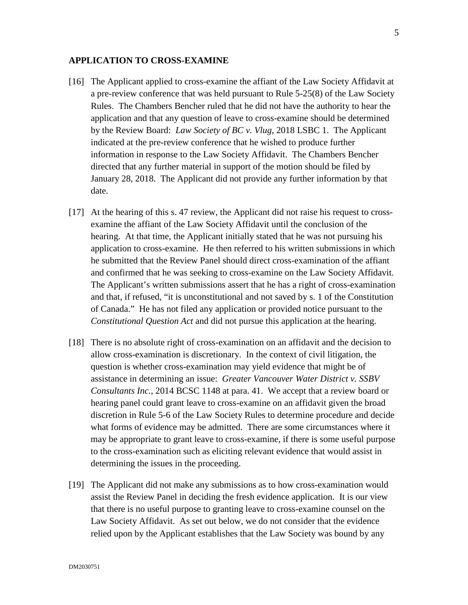#### **APPLICATION TO CROSS-EXAMINE**

- [16] The Applicant applied to cross-examine the affiant of the Law Society Affidavit at a pre-review conference that was held pursuant to Rule 5-25(8) of the Law Society Rules. The Chambers Bencher ruled that he did not have the authority to hear the application and that any question of leave to cross-examine should be determined by the Review Board: *Law Society of BC v. Vlug*, 2018 LSBC 1. The Applicant indicated at the pre-review conference that he wished to produce further information in response to the Law Society Affidavit. The Chambers Bencher directed that any further material in support of the motion should be filed by January 28, 2018. The Applicant did not provide any further information by that date.
- [17] At the hearing of this s. 47 review, the Applicant did not raise his request to crossexamine the affiant of the Law Society Affidavit until the conclusion of the hearing. At that time, the Applicant initially stated that he was not pursuing his application to cross-examine. He then referred to his written submissions in which he submitted that the Review Panel should direct cross-examination of the affiant and confirmed that he was seeking to cross-examine on the Law Society Affidavit. The Applicant's written submissions assert that he has a right of cross-examination and that, if refused, "it is unconstitutional and not saved by s. 1 of the Constitution of Canada." He has not filed any application or provided notice pursuant to the *Constitutional Question Act* and did not pursue this application at the hearing.
- [18] There is no absolute right of cross-examination on an affidavit and the decision to allow cross-examination is discretionary. In the context of civil litigation, the question is whether cross-examination may yield evidence that might be of assistance in determining an issue: *Greater Vancouver Water District v. SSBV Consultants Inc.*, 2014 BCSC 1148 at para. 41. We accept that a review board or hearing panel could grant leave to cross-examine on an affidavit given the broad discretion in Rule 5-6 of the Law Society Rules to determine procedure and decide what forms of evidence may be admitted. There are some circumstances where it may be appropriate to grant leave to cross-examine, if there is some useful purpose to the cross-examination such as eliciting relevant evidence that would assist in determining the issues in the proceeding.
- [19] The Applicant did not make any submissions as to how cross-examination would assist the Review Panel in deciding the fresh evidence application. It is our view that there is no useful purpose to granting leave to cross-examine counsel on the Law Society Affidavit. As set out below, we do not consider that the evidence relied upon by the Applicant establishes that the Law Society was bound by any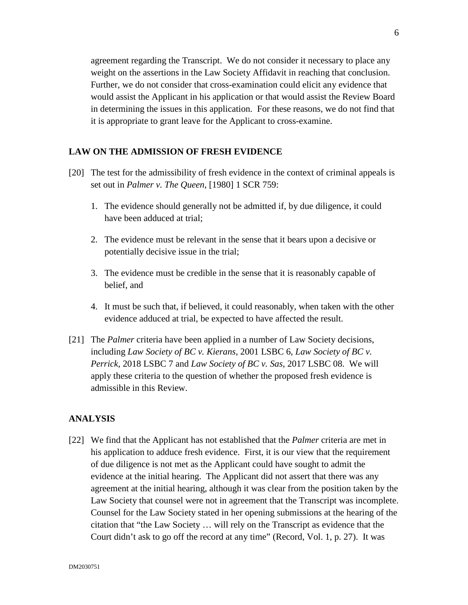agreement regarding the Transcript. We do not consider it necessary to place any weight on the assertions in the Law Society Affidavit in reaching that conclusion. Further, we do not consider that cross-examination could elicit any evidence that would assist the Applicant in his application or that would assist the Review Board in determining the issues in this application. For these reasons, we do not find that it is appropriate to grant leave for the Applicant to cross-examine.

## **LAW ON THE ADMISSION OF FRESH EVIDENCE**

- [20] The test for the admissibility of fresh evidence in the context of criminal appeals is set out in *Palmer v. The Queen*, [1980] 1 SCR 759:
	- 1. The evidence should generally not be admitted if, by due diligence, it could have been adduced at trial;
	- 2. The evidence must be relevant in the sense that it bears upon a decisive or potentially decisive issue in the trial;
	- 3. The evidence must be credible in the sense that it is reasonably capable of belief, and
	- 4. It must be such that, if believed, it could reasonably, when taken with the other evidence adduced at trial, be expected to have affected the result.
- [21] The *Palmer* criteria have been applied in a number of Law Society decisions, including *Law Society of BC v. Kierans*, 2001 LSBC 6, *Law Society of BC v. Perrick,* 2018 LSBC 7 and *Law Society of BC v. Sas*, 2017 LSBC 08. We will apply these criteria to the question of whether the proposed fresh evidence is admissible in this Review.

## **ANALYSIS**

[22] We find that the Applicant has not established that the *Palmer* criteria are met in his application to adduce fresh evidence. First, it is our view that the requirement of due diligence is not met as the Applicant could have sought to admit the evidence at the initial hearing. The Applicant did not assert that there was any agreement at the initial hearing, although it was clear from the position taken by the Law Society that counsel were not in agreement that the Transcript was incomplete. Counsel for the Law Society stated in her opening submissions at the hearing of the citation that "the Law Society … will rely on the Transcript as evidence that the Court didn't ask to go off the record at any time" (Record, Vol. 1, p. 27). It was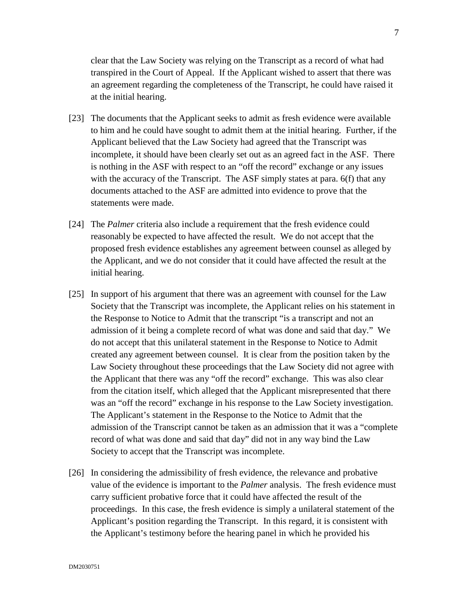clear that the Law Society was relying on the Transcript as a record of what had transpired in the Court of Appeal. If the Applicant wished to assert that there was an agreement regarding the completeness of the Transcript, he could have raised it at the initial hearing.

- [23] The documents that the Applicant seeks to admit as fresh evidence were available to him and he could have sought to admit them at the initial hearing. Further, if the Applicant believed that the Law Society had agreed that the Transcript was incomplete, it should have been clearly set out as an agreed fact in the ASF. There is nothing in the ASF with respect to an "off the record" exchange or any issues with the accuracy of the Transcript. The ASF simply states at para. 6(f) that any documents attached to the ASF are admitted into evidence to prove that the statements were made.
- [24] The *Palmer* criteria also include a requirement that the fresh evidence could reasonably be expected to have affected the result. We do not accept that the proposed fresh evidence establishes any agreement between counsel as alleged by the Applicant, and we do not consider that it could have affected the result at the initial hearing.
- [25] In support of his argument that there was an agreement with counsel for the Law Society that the Transcript was incomplete, the Applicant relies on his statement in the Response to Notice to Admit that the transcript "is a transcript and not an admission of it being a complete record of what was done and said that day." We do not accept that this unilateral statement in the Response to Notice to Admit created any agreement between counsel. It is clear from the position taken by the Law Society throughout these proceedings that the Law Society did not agree with the Applicant that there was any "off the record" exchange. This was also clear from the citation itself, which alleged that the Applicant misrepresented that there was an "off the record" exchange in his response to the Law Society investigation. The Applicant's statement in the Response to the Notice to Admit that the admission of the Transcript cannot be taken as an admission that it was a "complete record of what was done and said that day" did not in any way bind the Law Society to accept that the Transcript was incomplete.
- [26] In considering the admissibility of fresh evidence, the relevance and probative value of the evidence is important to the *Palmer* analysis. The fresh evidence must carry sufficient probative force that it could have affected the result of the proceedings. In this case, the fresh evidence is simply a unilateral statement of the Applicant's position regarding the Transcript. In this regard, it is consistent with the Applicant's testimony before the hearing panel in which he provided his